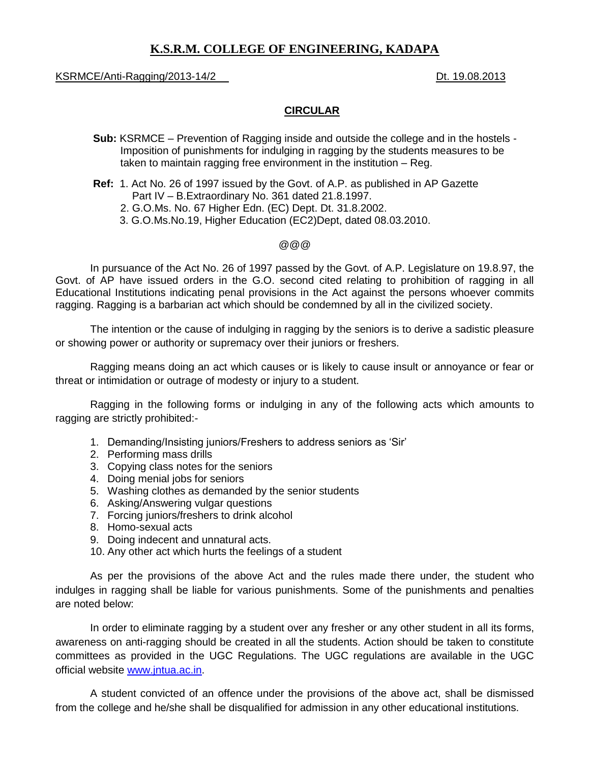# **K.S.R.M. COLLEGE OF ENGINEERING, KADAPA**

### KSRMCE/Anti-Ragging/2013-14/2 Dt. 19.08.2013

## **CIRCULAR**

- **Sub:** KSRMCE Prevention of Ragging inside and outside the college and in the hostels Imposition of punishments for indulging in ragging by the students measures to be taken to maintain ragging free environment in the institution – Reg.
- **Ref:** 1. Act No. 26 of 1997 issued by the Govt. of A.P. as published in AP Gazette Part IV – B.Extraordinary No. 361 dated 21.8.1997.
	- 2. G.O.Ms. No. 67 Higher Edn. (EC) Dept. Dt. 31.8.2002.
	- 3. G.O.Ms.No.19, Higher Education (EC2)Dept, dated 08.03.2010.

#### @@@

In pursuance of the Act No. 26 of 1997 passed by the Govt. of A.P. Legislature on 19.8.97, the Govt. of AP have issued orders in the G.O. second cited relating to prohibition of ragging in all Educational Institutions indicating penal provisions in the Act against the persons whoever commits ragging. Ragging is a barbarian act which should be condemned by all in the civilized society.

The intention or the cause of indulging in ragging by the seniors is to derive a sadistic pleasure or showing power or authority or supremacy over their juniors or freshers.

Ragging means doing an act which causes or is likely to cause insult or annoyance or fear or threat or intimidation or outrage of modesty or injury to a student.

Ragging in the following forms or indulging in any of the following acts which amounts to ragging are strictly prohibited:-

- 1. Demanding/Insisting juniors/Freshers to address seniors as 'Sir'
- 2. Performing mass drills
- 3. Copying class notes for the seniors
- 4. Doing menial jobs for seniors
- 5. Washing clothes as demanded by the senior students
- 6. Asking/Answering vulgar questions
- 7. Forcing juniors/freshers to drink alcohol
- 8. Homo-sexual acts
- 9. Doing indecent and unnatural acts.
- 10. Any other act which hurts the feelings of a student

As per the provisions of the above Act and the rules made there under, the student who indulges in ragging shall be liable for various punishments. Some of the punishments and penalties are noted below:

In order to eliminate ragging by a student over any fresher or any other student in all its forms, awareness on anti-ragging should be created in all the students. Action should be taken to constitute committees as provided in the UGC Regulations. The UGC regulations are available in the UGC official website [www.jntua.ac.in.](http://www.jntua.ac.in/)

A student convicted of an offence under the provisions of the above act, shall be dismissed from the college and he/she shall be disqualified for admission in any other educational institutions.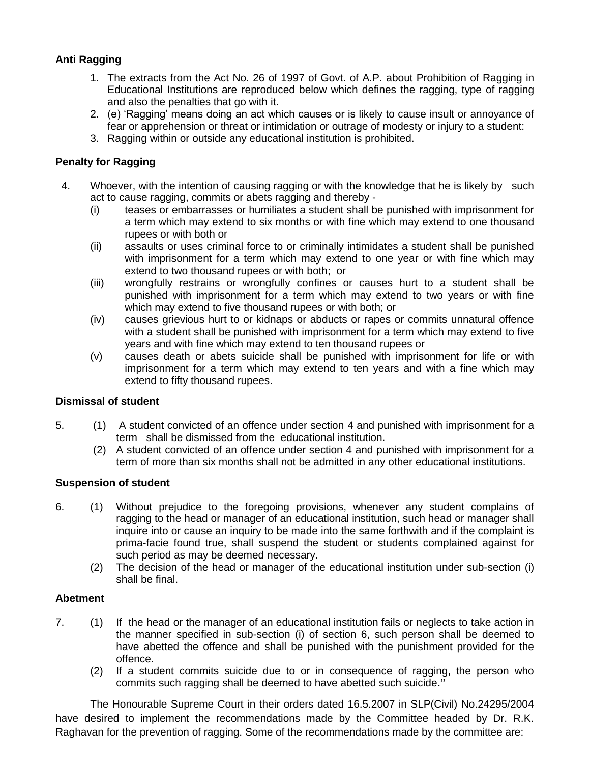# **Anti Ragging**

- 1. The extracts from the Act No. 26 of 1997 of Govt. of A.P. about Prohibition of Ragging in Educational Institutions are reproduced below which defines the ragging, type of ragging and also the penalties that go with it.
- 2. (e) 'Ragging' means doing an act which causes or is likely to cause insult or annoyance of fear or apprehension or threat or intimidation or outrage of modesty or injury to a student:
- 3. Ragging within or outside any educational institution is prohibited.

# **Penalty for Ragging**

- 4. Whoever, with the intention of causing ragging or with the knowledge that he is likely by such act to cause ragging, commits or abets ragging and thereby -
	- (i) teases or embarrasses or humiliates a student shall be punished with imprisonment for a term which may extend to six months or with fine which may extend to one thousand rupees or with both or
	- (ii) assaults or uses criminal force to or criminally intimidates a student shall be punished with imprisonment for a term which may extend to one year or with fine which may extend to two thousand rupees or with both; or
	- (iii) wrongfully restrains or wrongfully confines or causes hurt to a student shall be punished with imprisonment for a term which may extend to two years or with fine which may extend to five thousand rupees or with both; or
	- (iv) causes grievious hurt to or kidnaps or abducts or rapes or commits unnatural offence with a student shall be punished with imprisonment for a term which may extend to five years and with fine which may extend to ten thousand rupees or
	- (v) causes death or abets suicide shall be punished with imprisonment for life or with imprisonment for a term which may extend to ten years and with a fine which may extend to fifty thousand rupees.

# **Dismissal of student**

- 5. (1) A student convicted of an offence under section 4 and punished with imprisonment for a term shall be dismissed from the educational institution.
	- (2) A student convicted of an offence under section 4 and punished with imprisonment for a term of more than six months shall not be admitted in any other educational institutions.

# **Suspension of student**

- 6. (1) Without prejudice to the foregoing provisions, whenever any student complains of ragging to the head or manager of an educational institution, such head or manager shall inquire into or cause an inquiry to be made into the same forthwith and if the complaint is prima-facie found true, shall suspend the student or students complained against for such period as may be deemed necessary.
	- (2) The decision of the head or manager of the educational institution under sub-section (i) shall be final.

# **Abetment**

- 7. (1) If the head or the manager of an educational institution fails or neglects to take action in the manner specified in sub-section (i) of section 6, such person shall be deemed to have abetted the offence and shall be punished with the punishment provided for the offence.
	- (2) If a student commits suicide due to or in consequence of ragging, the person who commits such ragging shall be deemed to have abetted such suicide**."**

The Honourable Supreme Court in their orders dated 16.5.2007 in SLP(Civil) No.24295/2004 have desired to implement the recommendations made by the Committee headed by Dr. R.K. Raghavan for the prevention of ragging. Some of the recommendations made by the committee are: